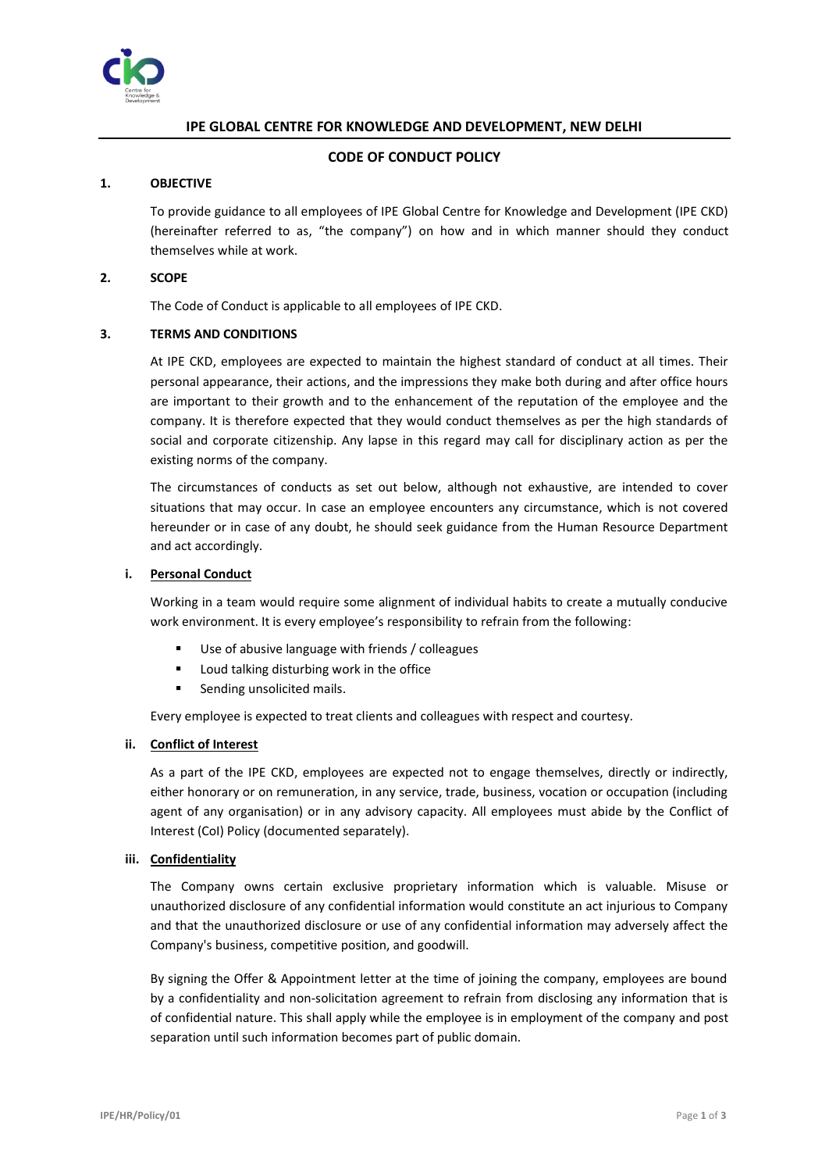

# **IPE GLOBAL CENTRE FOR KNOWLEDGE AND DEVELOPMENT, NEW DELHI**

# **CODE OF CONDUCT POLICY**

# **1. OBJECTIVE**

To provide guidance to all employees of IPE Global Centre for Knowledge and Development (IPE CKD) (hereinafter referred to as, "the company") on how and in which manner should they conduct themselves while at work.

# **2. SCOPE**

The Code of Conduct is applicable to all employees of IPE CKD.

# **3. TERMS AND CONDITIONS**

At IPE CKD, employees are expected to maintain the highest standard of conduct at all times. Their personal appearance, their actions, and the impressions they make both during and after office hours are important to their growth and to the enhancement of the reputation of the employee and the company. It is therefore expected that they would conduct themselves as per the high standards of social and corporate citizenship. Any lapse in this regard may call for disciplinary action as per the existing norms of the company.

The circumstances of conducts as set out below, although not exhaustive, are intended to cover situations that may occur. In case an employee encounters any circumstance, which is not covered hereunder or in case of any doubt, he should seek guidance from the Human Resource Department and act accordingly.

# **i. Personal Conduct**

Working in a team would require some alignment of individual habits to create a mutually conducive work environment. It is every employee's responsibility to refrain from the following:

- Use of abusive language with friends / colleagues
- Loud talking disturbing work in the office
- Sending unsolicited mails.

Every employee is expected to treat clients and colleagues with respect and courtesy.

# **ii. Conflict of Interest**

As a part of the IPE CKD, employees are expected not to engage themselves, directly or indirectly, either honorary or on remuneration, in any service, trade, business, vocation or occupation (including agent of any organisation) or in any advisory capacity. All employees must abide by the Conflict of Interest (CoI) Policy (documented separately).

# **iii. Confidentiality**

The Company owns certain exclusive proprietary information which is valuable. Misuse or unauthorized disclosure of any confidential information would constitute an act injurious to Company and that the unauthorized disclosure or use of any confidential information may adversely affect the Company's business, competitive position, and goodwill.

By signing the Offer & Appointment letter at the time of joining the company, employees are bound by a confidentiality and non-solicitation agreement to refrain from disclosing any information that is of confidential nature. This shall apply while the employee is in employment of the company and post separation until such information becomes part of public domain.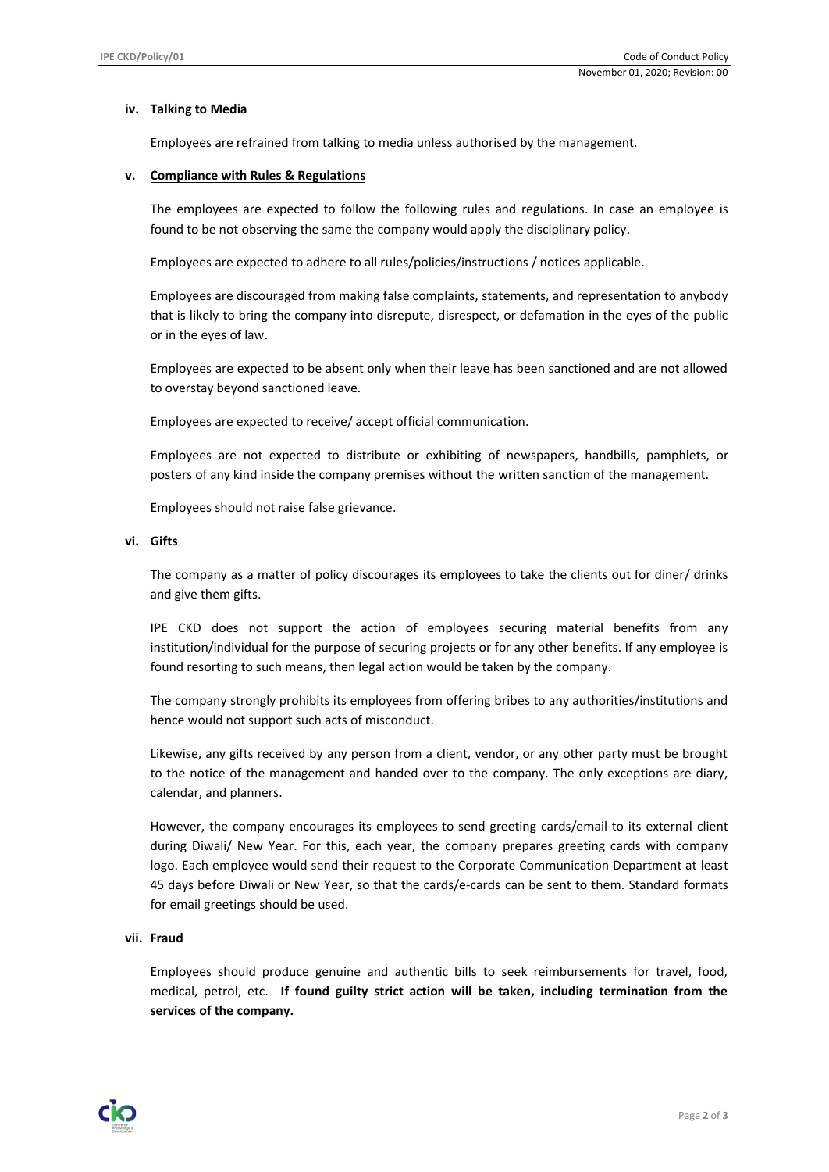# **iv. Talking to Media**

Employees are refrained from talking to media unless authorised by the management.

#### **v. Compliance with Rules & Regulations**

The employees are expected to follow the following rules and regulations. In case an employee is found to be not observing the same the company would apply the disciplinary policy.

Employees are expected to adhere to all rules/policies/instructions / notices applicable.

Employees are discouraged from making false complaints, statements, and representation to anybody that is likely to bring the company into disrepute, disrespect, or defamation in the eyes of the public or in the eyes of law.

Employees are expected to be absent only when their leave has been sanctioned and are not allowed to overstay beyond sanctioned leave.

Employees are expected to receive/ accept official communication.

Employees are not expected to distribute or exhibiting of newspapers, handbills, pamphlets, or posters of any kind inside the company premises without the written sanction of the management.

Employees should not raise false grievance.

#### **vi. Gifts**

The company as a matter of policy discourages its employees to take the clients out for diner/ drinks and give them gifts.

IPE CKD does not support the action of employees securing material benefits from any institution/individual for the purpose of securing projects or for any other benefits. If any employee is found resorting to such means, then legal action would be taken by the company.

The company strongly prohibits its employees from offering bribes to any authorities/institutions and hence would not support such acts of misconduct.

Likewise, any gifts received by any person from a client, vendor, or any other party must be brought to the notice of the management and handed over to the company. The only exceptions are diary, calendar, and planners.

However, the company encourages its employees to send greeting cards/email to its external client during Diwali/ New Year. For this, each year, the company prepares greeting cards with company logo. Each employee would send their request to the Corporate Communication Department at least 45 days before Diwali or New Year, so that the cards/e-cards can be sent to them. Standard formats for email greetings should be used.

# **vii. Fraud**

Employees should produce genuine and authentic bills to seek reimbursements for travel, food, medical, petrol, etc. **If found guilty strict action will be taken, including termination from the services of the company.**